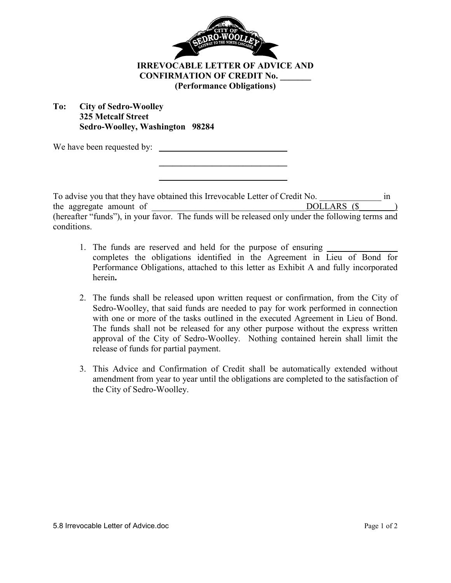

## **IRREVOCABLE LETTER OF ADVICE AND CONFIRMATION OF CREDIT No. \_\_\_\_\_\_\_ (Performance Obligations)**

## **To: City of Sedro-Woolley 325 Metcalf Street Sedro-Woolley, Washington 98284**

 **\_\_\_\_\_\_\_\_\_\_\_\_\_\_\_\_\_\_\_\_\_\_\_\_\_\_\_\_\_ \_\_\_\_\_\_\_\_\_\_\_\_\_\_\_\_\_\_\_\_\_\_\_\_\_\_\_\_\_** 

We have been requested by:

To advise you that they have obtained this Irrevocable Letter of Credit No.  $\overline{DOLLARS(S)}$  in the aggregate amount of the aggregate amount of  $DOLLARS$  ( $\$$ (hereafter "funds"), in your favor. The funds will be released only under the following terms and conditions.

- 1. The funds are reserved and held for the purpose of ensuring completes the obligations identified in the Agreement in Lieu of Bond for Performance Obligations, attached to this letter as Exhibit A and fully incorporated herein**.**
- 2. The funds shall be released upon written request or confirmation, from the City of Sedro-Woolley, that said funds are needed to pay for work performed in connection with one or more of the tasks outlined in the executed Agreement in Lieu of Bond. The funds shall not be released for any other purpose without the express written approval of the City of Sedro-Woolley. Nothing contained herein shall limit the release of funds for partial payment.
- 3. This Advice and Confirmation of Credit shall be automatically extended without amendment from year to year until the obligations are completed to the satisfaction of the City of Sedro-Woolley.